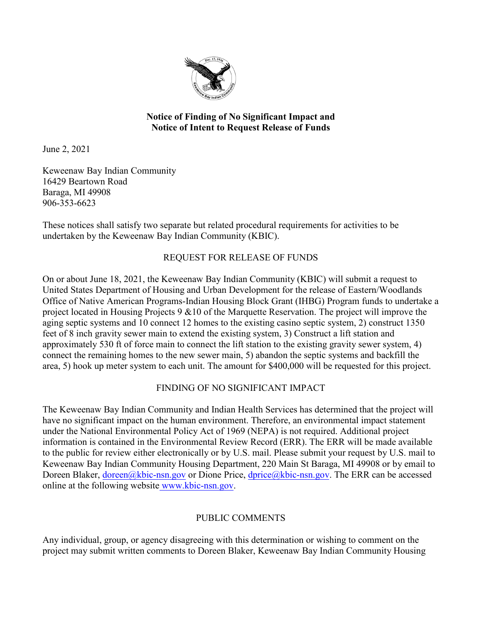

### **Notice of Finding of No Significant Impact and Notice of Intent to Request Release of Funds**

June 2, 2021

Keweenaw Bay Indian Community 16429 Beartown Road Baraga, MI 49908 906-353-6623

These notices shall satisfy two separate but related procedural requirements for activities to be undertaken by the Keweenaw Bay Indian Community (KBIC).

# REQUEST FOR RELEASE OF FUNDS

On or about June 18, 2021, the Keweenaw Bay Indian Community (KBIC) will submit a request to United States Department of Housing and Urban Development for the release of Eastern/Woodlands Office of Native American Programs-Indian Housing Block Grant (IHBG) Program funds to undertake a project located in Housing Projects 9 &10 of the Marquette Reservation. The project will improve the aging septic systems and 10 connect 12 homes to the existing casino septic system, 2) construct 1350 feet of 8 inch gravity sewer main to extend the existing system, 3) Construct a lift station and approximately 530 ft of force main to connect the lift station to the existing gravity sewer system, 4) connect the remaining homes to the new sewer main, 5) abandon the septic systems and backfill the area, 5) hook up meter system to each unit. The amount for \$400,000 will be requested for this project.

## FINDING OF NO SIGNIFICANT IMPACT

The Keweenaw Bay Indian Community and Indian Health Services has determined that the project will have no significant impact on the human environment. Therefore, an environmental impact statement under the National Environmental Policy Act of 1969 (NEPA) is not required. Additional project information is contained in the Environmental Review Record (ERR). The ERR will be made available to the public for review either electronically or by U.S. mail. Please submit your request by U.S. mail to Keweenaw Bay Indian Community Housing Department, 220 Main St Baraga, MI 49908 or by email to Doreen Blaker, [doreen@kbic-nsn.gov](mailto:doreen@kbic-nsn.gov) or Dione Price, dprice@kbic-nsn.gov. The ERR can be accessed online at the following website www.kbic-nsn.gov.

## PUBLIC COMMENTS

Any individual, group, or agency disagreeing with this determination or wishing to comment on the project may submit written comments to Doreen Blaker, Keweenaw Bay Indian Community Housing